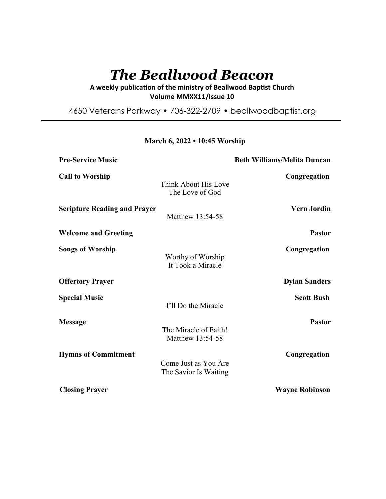# *The Beallwood Beacon*

A weekly publication of the ministry of Beallwood Baptist Church **Volume MMXX11/Issue 10** 

4650 Veterans Parkway • 706-322-2709 • beallwoodbaptist.org

| <b>Pre-Service Music</b>            |                                               | <b>Beth Williams/Melita Duncan</b> |
|-------------------------------------|-----------------------------------------------|------------------------------------|
| <b>Call to Worship</b>              | Think About His Love<br>The Love of God       | Congregation                       |
| <b>Scripture Reading and Prayer</b> | Matthew 13:54-58                              | <b>Vern Jordin</b>                 |
| <b>Welcome and Greeting</b>         |                                               | <b>Pastor</b>                      |
| <b>Songs of Worship</b>             | Worthy of Worship<br>It Took a Miracle        | Congregation                       |
| <b>Offertory Prayer</b>             |                                               | <b>Dylan Sanders</b>               |
| <b>Special Music</b>                | I'll Do the Miracle                           | <b>Scott Bush</b>                  |
| <b>Message</b>                      | The Miracle of Faith!<br>Matthew 13:54-58     | <b>Pastor</b>                      |
| <b>Hymns of Commitment</b>          | Come Just as You Are<br>The Savior Is Waiting | Congregation                       |
| <b>Closing Prayer</b>               |                                               | <b>Wayne Robinson</b>              |

**March 6, 2022 • 10:45 Worship**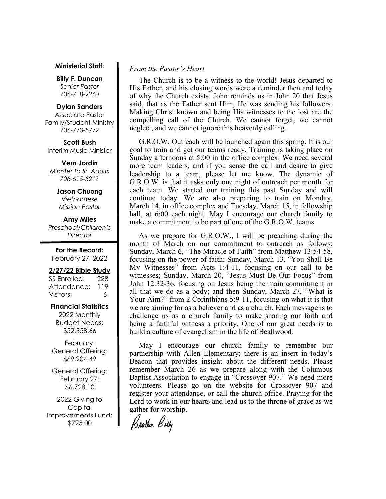#### **Ministerial Staff:**

**Billy F. Duncan** *Senior Pastor*  706-718-2260

## **Dylan Sanders**

Associate Pastor Family/Student Ministry 706-773-5772

**Scott Bush**  Interim Music Minister

**Vern Jordin** *Minister to Sr. Adults 706-615-5212* 

# **Jason Chuong**

*Vietnamese Mission Pastor* 

#### **Amy Miles** *Preschool/Children's*

*Director* 

**For the Record:**  February 27, 2022

#### **2/27/22 Bible Study**

SS Enrolled: 228 Attendance: 119 Visitors: 6

# **Financial Statistics**

2022 Monthly Budget Needs: \$52,358.66

February: General Offering: \$69,204.49

General Offering: February 27: \$6,728.10

2022 Giving to Capital Improvements Fund: \$725.00

# *From the Pastor's Heart*

 The Church is to be a witness to the world! Jesus departed to His Father, and his closing words were a reminder then and today of why the Church exists. John reminds us in John 20 that Jesus said, that as the Father sent Him, He was sending his followers. Making Christ known and being His witnesses to the lost are the compelling call of the Church. We cannot forget, we cannot neglect, and we cannot ignore this heavenly calling.

 G.R.O.W. Outreach will be launched again this spring. It is our goal to train and get our teams ready. Training is taking place on Sunday afternoons at 5:00 in the office complex. We need several more team leaders, and if you sense the call and desire to give leadership to a team, please let me know. The dynamic of G.R.O.W. is that it asks only one night of outreach per month for each team. We started our training this past Sunday and will continue today. We are also preparing to train on Monday, March 14, in office complex and Tuesday, March 15, in fellowship hall, at 6:00 each night. May I encourage our church family to make a commitment to be part of one of the G.R.O.W. teams.

 As we prepare for G.R.O.W., I will be preaching during the month of March on our commitment to outreach as follows: Sunday, March 6, "The Miracle of Faith" from Matthew 13:54-58, focusing on the power of faith; Sunday, March 13, "You Shall Be My Witnesses" from Acts 1:4-11, focusing on our call to be witnesses; Sunday, March 20, "Jesus Must Be Our Focus" from John 12:32-36, focusing on Jesus being the main commitment in all that we do as a body; and then Sunday, March 27, "What is Your Aim?" from 2 Corinthians 5:9-11, focusing on what it is that we are aiming for as a believer and as a church. Each message is to challenge us as a church family to make sharing our faith and being a faithful witness a priority. One of our great needs is to build a culture of evangelism in the life of Beallwood.

 May I encourage our church family to remember our partnership with Allen Elementary; there is an insert in today's Beacon that provides insight about the different needs. Please remember March 26 as we prepare along with the Columbus Baptist Association to engage in "Crossover 907." We need more volunteers. Please go on the website for Crossover 907 and register your attendance, or call the church office. Praying for the Lord to work in our hearts and lead us to the throne of grace as we gather for worship.

Brother Billy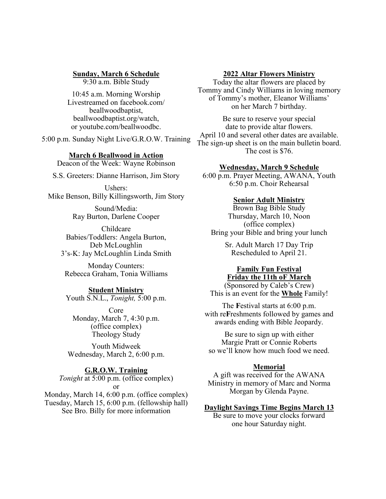## **Sunday, March 6 Schedule**

9:30 a.m. Bible Study

10:45 a.m. Morning Worship Livestreamed on facebook.com/ beallwoodbaptist, beallwoodbaptist.org/watch, or youtube.com/beallwoodbc.

5:00 p.m. Sunday Night Live/G.R.O.W. Training

## **March 6 Beallwood in Action**

Deacon of the Week: Wayne Robinson

S.S. Greeters: Dianne Harrison, Jim Story

Ushers: Mike Benson, Billy Killingsworth, Jim Story

> Sound/Media: Ray Burton, Darlene Cooper

Childcare Babies/Toddlers: Angela Burton, Deb McLoughlin 3's-K: Jay McLoughlin Linda Smith

Monday Counters: Rebecca Graham, Tonia Williams

# **Student Ministry**

Youth S.N.L., *Tonight,* 5:00 p.m.

Core Monday, March 7, 4:30 p.m. (office complex) Theology Study

Youth Midweek Wednesday, March 2, 6:00 p.m.

# **G.R.O.W. Training**

*Tonight* at 5:00 p.m. (office complex) or

Monday, March 14, 6:00 p.m. (office complex) Tuesday, March 15, 6:00 p.m. (fellowship hall) See Bro. Billy for more information

## **2022 Altar Flowers Ministry**

Today the altar flowers are placed by Tommy and Cindy Williams in loving memory of Tommy's mother, Eleanor Williams' on her March 7 birthday.

Be sure to reserve your special date to provide altar flowers. April 10 and several other dates are available. The sign-up sheet is on the main bulletin board. The cost is \$76.

## **Wednesday, March 9 Schedule**

6:00 p.m. Prayer Meeting, AWANA, Youth 6:50 p.m. Choir Rehearsal

#### **Senior Adult Ministry**

Brown Bag Bible Study Thursday, March 10, Noon (office complex) Bring your Bible and bring your lunch

> Sr. Adult March 17 Day Trip Rescheduled to April 21.

## **Family Fun Festival Friday the 11th oF March**

(Sponsored by Caleb's Crew) This is an event for the **Whole** Family!

The **F**estival starts at 6:00 p.m. with re**F**reshments followed by games and awards ending with Bible Jeopardy.

Be sure to sign up with either Margie Pratt or Connie Roberts so we'll know how much food we need.

## **Memorial**

A gift was received for the AWANA Ministry in memory of Marc and Norma Morgan by Glenda Payne.

#### **Daylight Savings Time Begins March 13**

Be sure to move your clocks forward one hour Saturday night.